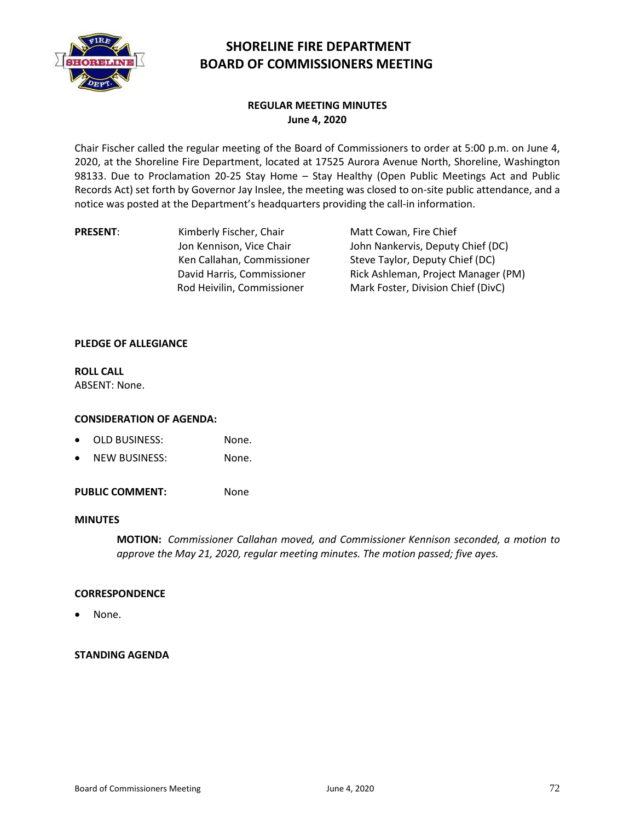

# **SHORELINE FIRE DEPARTMENT BOARD OF COMMISSIONERS MEETING**

# **REGULAR MEETING MINUTES June 4, 2020**

Chair Fischer called the regular meeting of the Board of Commissioners to order at 5:00 p.m. on June 4, 2020, at the Shoreline Fire Department, located at 17525 Aurora Avenue North, Shoreline, Washington 98133. Due to Proclamation 20-25 Stay Home – Stay Healthy (Open Public Meetings Act and Public Records Act) set forth by Governor Jay Inslee, the meeting was closed to on-site public attendance, and a notice was posted at the Department's headquarters providing the call-in information.

**PRESENT:** Kimberly Fischer, Chair Jon Kennison, Vice Chair Ken Callahan, Commissioner David Harris, Commissioner Rod Heivilin, Commissioner

Matt Cowan, Fire Chief John Nankervis, Deputy Chief (DC) Steve Taylor, Deputy Chief (DC) Rick Ashleman, Project Manager (PM) Mark Foster, Division Chief (DivC)

# **PLEDGE OF ALLEGIANCE**

**ROLL CALL** ABSENT: None.

#### **CONSIDERATION OF AGENDA:**

- OLD BUSINESS: None.
- NEW BUSINESS: None.

PUBLIC COMMENT: None

#### **MINUTES**

**MOTION:** *Commissioner Callahan moved, and Commissioner Kennison seconded, a motion to approve the May 21, 2020, regular meeting minutes. The motion passed; five ayes.*

#### **CORRESPONDENCE**

None.

#### **STANDING AGENDA**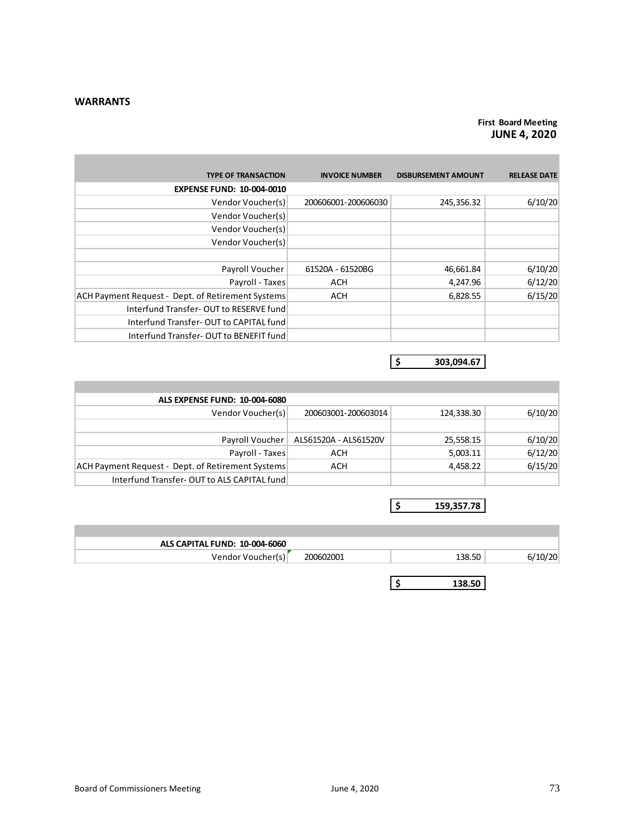#### **WARRANTS**

# **First Board Meeting JUNE 4, 2020**

| <b>TYPE OF TRANSACTION</b>                        | <b>INVOICE NUMBER</b> | <b>DISBURSEMENT AMOUNT</b> | <b>RELEASE DATE</b> |
|---------------------------------------------------|-----------------------|----------------------------|---------------------|
| <b>EXPENSE FUND: 10-004-0010</b>                  |                       |                            |                     |
| Vendor Voucher(s)                                 | 200606001-200606030   | 245,356.32                 | 6/10/20             |
| Vendor Voucher(s)                                 |                       |                            |                     |
| Vendor Voucher(s)                                 |                       |                            |                     |
| Vendor Voucher(s)                                 |                       |                            |                     |
|                                                   |                       |                            |                     |
| Payroll Voucher                                   | 61520A - 61520BG      | 46,661.84                  | 6/10/20             |
| Payroll - Taxes                                   | <b>ACH</b>            | 4,247.96                   | 6/12/20             |
| ACH Payment Request - Dept. of Retirement Systems | <b>ACH</b>            | 6,828.55                   | 6/15/20             |
| Interfund Transfer-OUT to RESERVE fund            |                       |                            |                     |
| Interfund Transfer-OUT to CAPITAL fund            |                       |                            |                     |
| Interfund Transfer-OUT to BENEFIT fund            |                       |                            |                     |

**\$ 303,094.67**

| ALS EXPENSE FUND: 10-004-6080                     |                       |            |         |
|---------------------------------------------------|-----------------------|------------|---------|
| Vendor Voucher(s)                                 | 200603001-200603014   | 124,338.30 | 6/10/20 |
|                                                   |                       |            |         |
| Payroll Voucher                                   | ALS61520A - ALS61520V | 25,558.15  | 6/10/20 |
| Payroll - Taxes                                   | ACH                   | 5,003.11   | 6/12/20 |
| ACH Payment Request - Dept. of Retirement Systems | ACH                   | 4.458.22   | 6/15/20 |
| Interfund Transfer-OUT to ALS CAPITAL fund        |                       |            |         |

**\$ 159,357.78**

| ALS CAPITAL FUND: 10-004-6060 |           |        |        |
|-------------------------------|-----------|--------|--------|
| Vendor Voucher(s)             | 200602001 | 138.50 | '10/20 |
|                               |           |        |        |
|                               |           | 138.50 |        |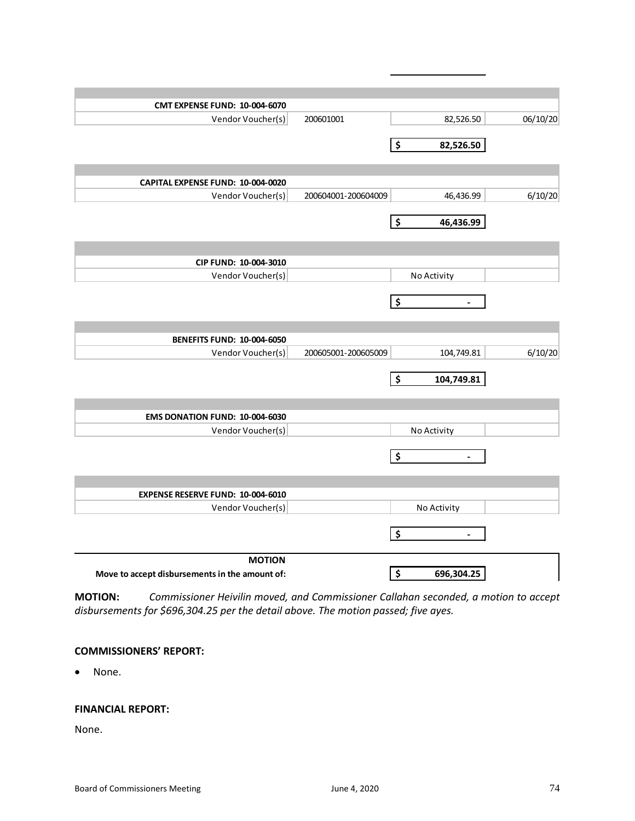| 200601001           | 82,526.50            | 06/10/20                                                                                               |
|---------------------|----------------------|--------------------------------------------------------------------------------------------------------|
|                     |                      |                                                                                                        |
|                     |                      |                                                                                                        |
|                     |                      |                                                                                                        |
|                     |                      |                                                                                                        |
| 200604001-200604009 | 46,436.99            | 6/10/20                                                                                                |
|                     |                      |                                                                                                        |
|                     |                      |                                                                                                        |
|                     |                      |                                                                                                        |
|                     |                      |                                                                                                        |
|                     | No Activity          |                                                                                                        |
|                     |                      |                                                                                                        |
|                     |                      |                                                                                                        |
|                     |                      |                                                                                                        |
|                     |                      |                                                                                                        |
|                     |                      | 6/10/20                                                                                                |
|                     |                      |                                                                                                        |
|                     |                      |                                                                                                        |
|                     |                      |                                                                                                        |
|                     |                      |                                                                                                        |
|                     |                      |                                                                                                        |
|                     | No Activity          |                                                                                                        |
|                     | \$<br>$\blacksquare$ |                                                                                                        |
|                     |                      |                                                                                                        |
|                     |                      |                                                                                                        |
|                     |                      |                                                                                                        |
|                     | No Activity          |                                                                                                        |
|                     | \$<br>$\overline{a}$ |                                                                                                        |
|                     |                      |                                                                                                        |
|                     | 200605001-200605009  | \$<br>82,526.50<br>\$<br>46,436.99<br>\$<br>$\overline{\phantom{a}}$<br>104,749.81<br>\$<br>104,749.81 |

**MOTION:** *Commissioner Heivilin moved, and Commissioner Callahan seconded, a motion to accept disbursements for \$696,304.25 per the detail above. The motion passed; five ayes.*

# **COMMISSIONERS' REPORT:**

• None.

#### **FINANCIAL REPORT:**

None.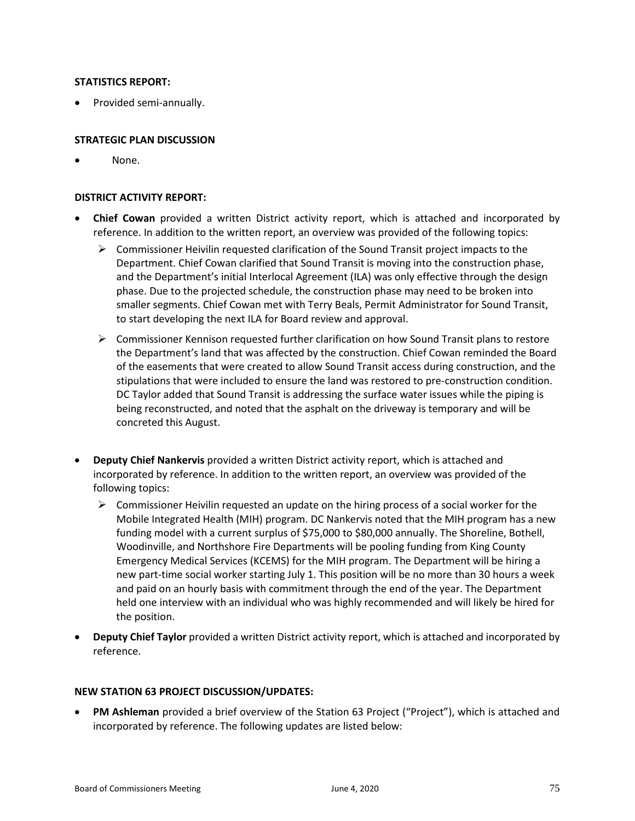# **STATISTICS REPORT:**

• Provided semi-annually.

# **STRATEGIC PLAN DISCUSSION**

None.

# **DISTRICT ACTIVITY REPORT:**

- **Chief Cowan** provided a written District activity report, which is attached and incorporated by reference. In addition to the written report, an overview was provided of the following topics:
	- $\triangleright$  Commissioner Heivilin requested clarification of the Sound Transit project impacts to the Department. Chief Cowan clarified that Sound Transit is moving into the construction phase, and the Department's initial Interlocal Agreement (ILA) was only effective through the design phase. Due to the projected schedule, the construction phase may need to be broken into smaller segments. Chief Cowan met with Terry Beals, Permit Administrator for Sound Transit, to start developing the next ILA for Board review and approval.
	- $\triangleright$  Commissioner Kennison requested further clarification on how Sound Transit plans to restore the Department's land that was affected by the construction. Chief Cowan reminded the Board of the easements that were created to allow Sound Transit access during construction, and the stipulations that were included to ensure the land was restored to pre-construction condition. DC Taylor added that Sound Transit is addressing the surface water issues while the piping is being reconstructed, and noted that the asphalt on the driveway is temporary and will be concreted this August.
- **Deputy Chief Nankervis** provided a written District activity report, which is attached and incorporated by reference. In addition to the written report, an overview was provided of the following topics:
	- $\triangleright$  Commissioner Heivilin requested an update on the hiring process of a social worker for the Mobile Integrated Health (MIH) program. DC Nankervis noted that the MIH program has a new funding model with a current surplus of \$75,000 to \$80,000 annually. The Shoreline, Bothell, Woodinville, and Northshore Fire Departments will be pooling funding from King County Emergency Medical Services (KCEMS) for the MIH program. The Department will be hiring a new part-time social worker starting July 1. This position will be no more than 30 hours a week and paid on an hourly basis with commitment through the end of the year. The Department held one interview with an individual who was highly recommended and will likely be hired for the position.
- **Deputy Chief Taylor** provided a written District activity report, which is attached and incorporated by reference.

#### **NEW STATION 63 PROJECT DISCUSSION/UPDATES:**

• **PM Ashleman** provided a brief overview of the Station 63 Project ("Project"), which is attached and incorporated by reference. The following updates are listed below: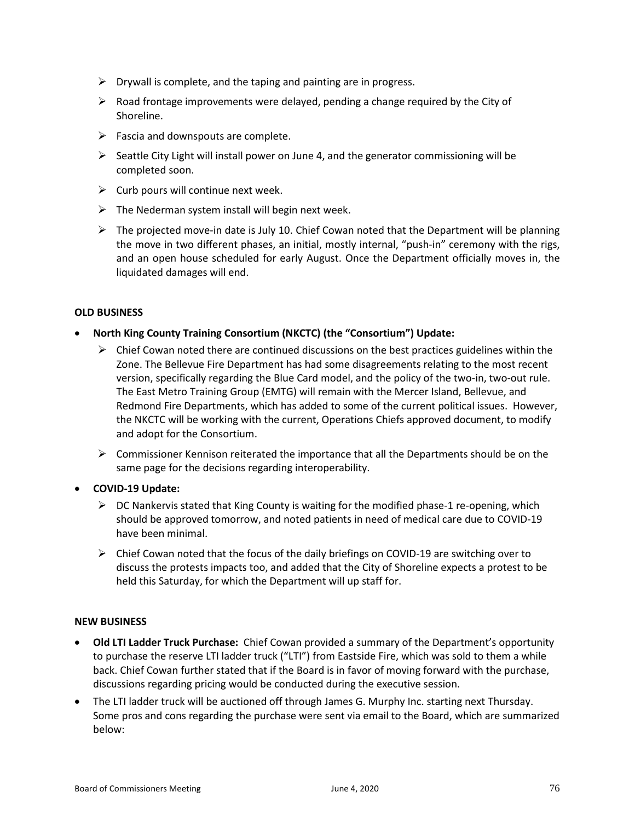- $\triangleright$  Drywall is complete, and the taping and painting are in progress.
- $\triangleright$  Road frontage improvements were delayed, pending a change required by the City of Shoreline.
- $\triangleright$  Fascia and downspouts are complete.
- $\triangleright$  Seattle City Light will install power on June 4, and the generator commissioning will be completed soon.
- $\triangleright$  Curb pours will continue next week.
- $\triangleright$  The Nederman system install will begin next week.
- $\triangleright$  The projected move-in date is July 10. Chief Cowan noted that the Department will be planning the move in two different phases, an initial, mostly internal, "push-in" ceremony with the rigs, and an open house scheduled for early August. Once the Department officially moves in, the liquidated damages will end.

# **OLD BUSINESS**

- **North King County Training Consortium (NKCTC) (the "Consortium") Update:**
	- $\triangleright$  Chief Cowan noted there are continued discussions on the best practices guidelines within the Zone. The Bellevue Fire Department has had some disagreements relating to the most recent version, specifically regarding the Blue Card model, and the policy of the two-in, two-out rule. The East Metro Training Group (EMTG) will remain with the Mercer Island, Bellevue, and Redmond Fire Departments, which has added to some of the current political issues. However, the NKCTC will be working with the current, Operations Chiefs approved document, to modify and adopt for the Consortium.
	- $\triangleright$  Commissioner Kennison reiterated the importance that all the Departments should be on the same page for the decisions regarding interoperability.
- **COVID-19 Update:**
	- $\triangleright$  DC Nankervis stated that King County is waiting for the modified phase-1 re-opening, which should be approved tomorrow, and noted patients in need of medical care due to COVID-19 have been minimal.
	- $\triangleright$  Chief Cowan noted that the focus of the daily briefings on COVID-19 are switching over to discuss the protests impacts too, and added that the City of Shoreline expects a protest to be held this Saturday, for which the Department will up staff for.

#### **NEW BUSINESS**

- **Old LTI Ladder Truck Purchase:** Chief Cowan provided a summary of the Department's opportunity to purchase the reserve LTI ladder truck ("LTI") from Eastside Fire, which was sold to them a while back. Chief Cowan further stated that if the Board is in favor of moving forward with the purchase, discussions regarding pricing would be conducted during the executive session.
- The LTI ladder truck will be auctioned off through James G. Murphy Inc. starting next Thursday. Some pros and cons regarding the purchase were sent via email to the Board, which are summarized below: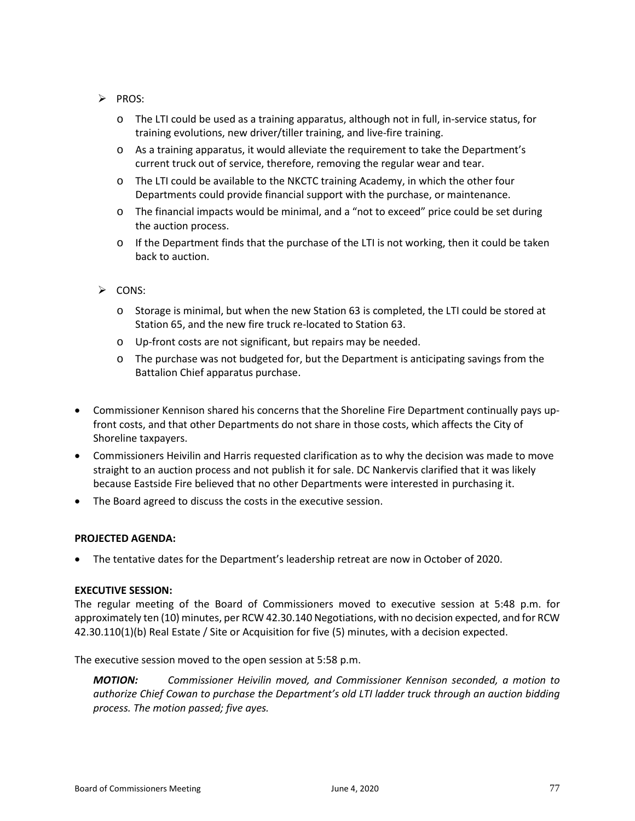- $\triangleright$  PROS:
	- o The LTI could be used as a training apparatus, although not in full, in-service status, for training evolutions, new driver/tiller training, and live-fire training.
	- o As a training apparatus, it would alleviate the requirement to take the Department's current truck out of service, therefore, removing the regular wear and tear.
	- $\circ$  The LTI could be available to the NKCTC training Academy, in which the other four Departments could provide financial support with the purchase, or maintenance.
	- o The financial impacts would be minimal, and a "not to exceed" price could be set during the auction process.
	- $\circ$  If the Department finds that the purchase of the LTI is not working, then it could be taken back to auction.
- $\triangleright$  CONS:
	- o Storage is minimal, but when the new Station 63 is completed, the LTI could be stored at Station 65, and the new fire truck re-located to Station 63.
	- o Up-front costs are not significant, but repairs may be needed.
	- o The purchase was not budgeted for, but the Department is anticipating savings from the Battalion Chief apparatus purchase.
- Commissioner Kennison shared his concerns that the Shoreline Fire Department continually pays upfront costs, and that other Departments do not share in those costs, which affects the City of Shoreline taxpayers.
- Commissioners Heivilin and Harris requested clarification as to why the decision was made to move straight to an auction process and not publish it for sale. DC Nankervis clarified that it was likely because Eastside Fire believed that no other Departments were interested in purchasing it.
- The Board agreed to discuss the costs in the executive session.

#### **PROJECTED AGENDA:**

• The tentative dates for the Department's leadership retreat are now in October of 2020.

#### **EXECUTIVE SESSION:**

The regular meeting of the Board of Commissioners moved to executive session at 5:48 p.m. for approximately ten (10) minutes, per RCW 42.30.140 Negotiations, with no decision expected, and for RCW 42.30.110(1)(b) Real Estate / Site or Acquisition for five (5) minutes, with a decision expected.

The executive session moved to the open session at 5:58 p.m.

*MOTION: Commissioner Heivilin moved, and Commissioner Kennison seconded, a motion to authorize Chief Cowan to purchase the Department's old LTI ladder truck through an auction bidding process. The motion passed; five ayes.*